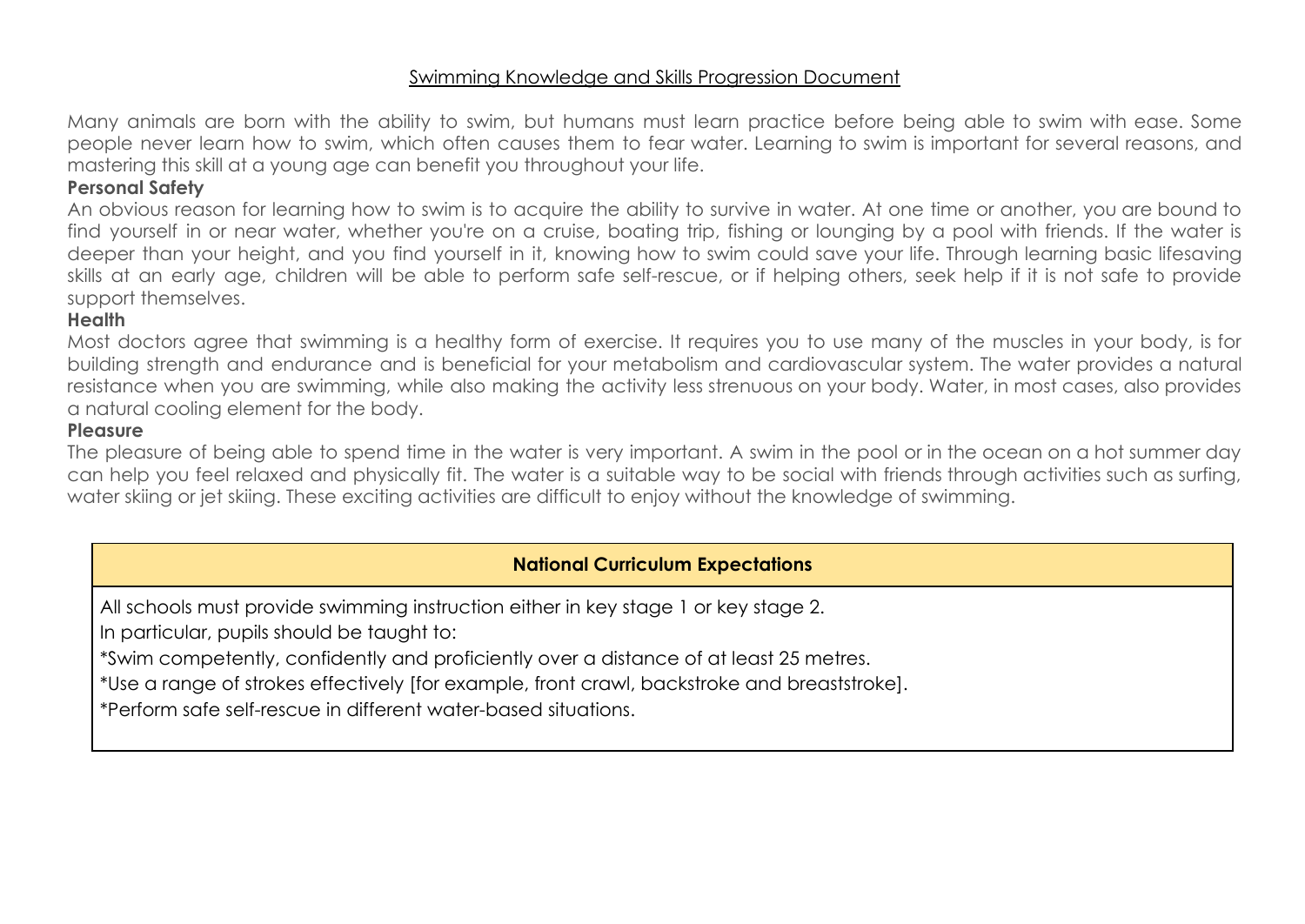#### Swimming Knowledge and Skills Progression Document

Many animals are born with the ability to swim, but humans must learn practice before being able to swim with ease. Some people never learn how to swim, which often causes them to fear water. Learning to swim is important for several reasons, and mastering this skill at a young age can benefit you throughout your life.

## **Personal Safety**

An obvious reason for learning how to swim is to acquire the ability to survive in water. At one time or another, you are bound to find yourself in or near water, whether you're on a cruise, boating trip, fishing or lounging by a pool with friends. If the water is deeper than your height, and you find yourself in it, knowing how to swim could save your life. Through learning basic lifesaving skills at an early age, children will be able to perform safe self-rescue, or if helping others, seek help if it is not safe to provide support themselves.

## **Health**

Most doctors agree that swimming is a healthy form of exercise. It requires you to use many of the muscles in your body, is for building strength and endurance and is beneficial for your metabolism and cardiovascular system. The water provides a natural resistance when you are swimming, while also making the activity less strenuous on your body. Water, in most cases, also provides a natural cooling element for the body.

#### **Pleasure**

The pleasure of being able to spend time in the water is very important. A swim in the pool or in the ocean on a hot summer day can help you feel relaxed and physically fit. The water is a suitable way to be social with friends through activities such as surfing, water skiing or jet skiing. These exciting activities are difficult to enjoy without the knowledge of swimming.

# **National Curriculum Expectations**

All schools must provide swimming instruction either in key stage 1 or key stage 2.

In particular, pupils should be taught to:

\*Swim competently, confidently and proficiently over a distance of at least 25 metres.

\*Use a range of strokes effectively [for example, front crawl, backstroke and breaststroke].

\*Perform safe self-rescue in different water-based situations.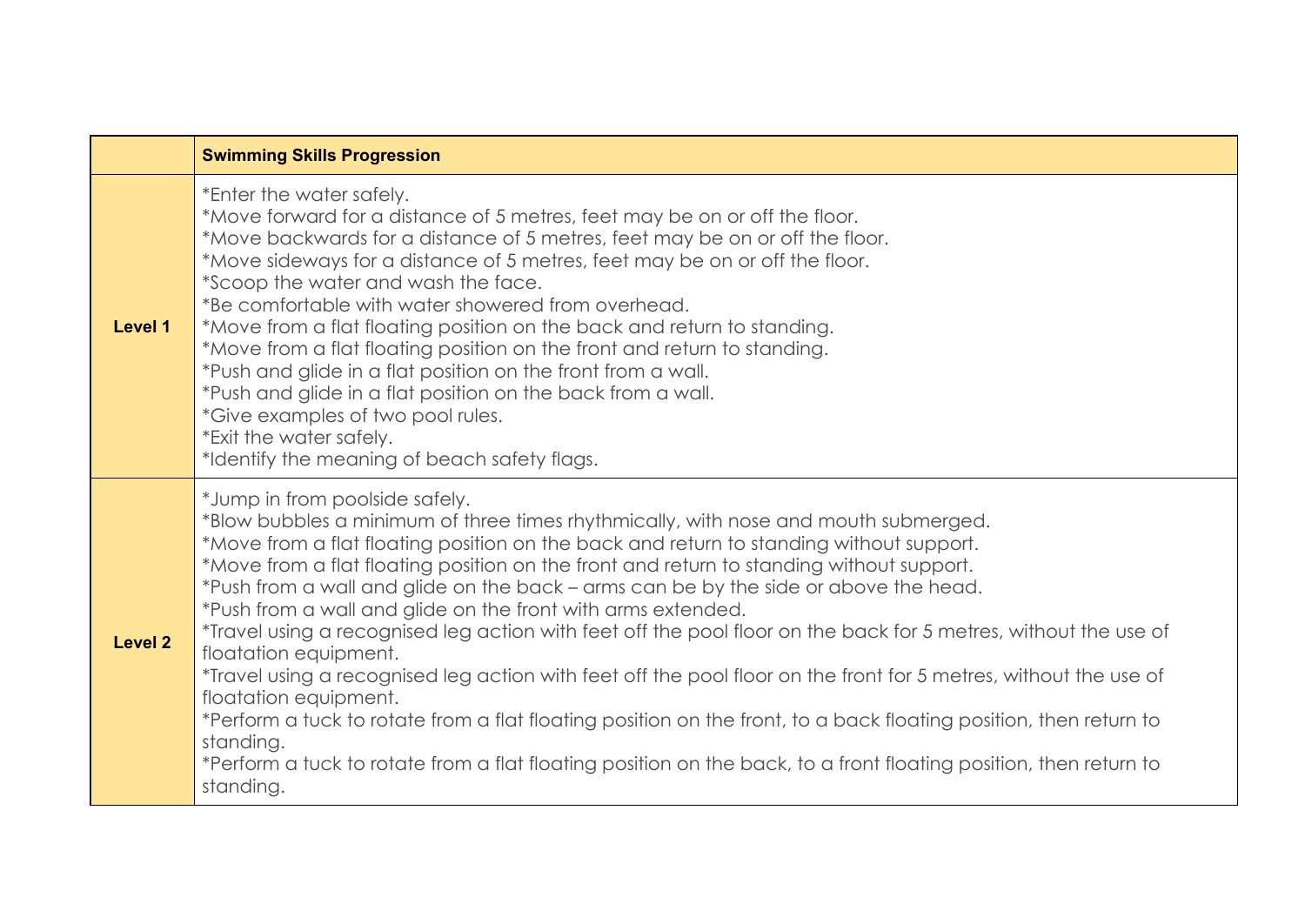|                | <b>Swimming Skills Progression</b>                                                                                                                                                                                                                                                                                                                                                                                                                                                                                                                                                                                                                                                                                                                                                                                                                                                                                                                                                                                                |
|----------------|-----------------------------------------------------------------------------------------------------------------------------------------------------------------------------------------------------------------------------------------------------------------------------------------------------------------------------------------------------------------------------------------------------------------------------------------------------------------------------------------------------------------------------------------------------------------------------------------------------------------------------------------------------------------------------------------------------------------------------------------------------------------------------------------------------------------------------------------------------------------------------------------------------------------------------------------------------------------------------------------------------------------------------------|
| Level 1        | *Enter the water safely.<br>*Move forward for a distance of 5 metres, feet may be on or off the floor.<br>*Move backwards for a distance of 5 metres, feet may be on or off the floor.<br>*Move sideways for a distance of 5 metres, feet may be on or off the floor.<br>*Scoop the water and wash the face.<br>*Be comfortable with water showered from overhead.<br>*Move from a flat floating position on the back and return to standing.<br>*Move from a flat floating position on the front and return to standing.<br>*Push and glide in a flat position on the front from a wall.<br>*Push and glide in a flat position on the back from a wall.<br>*Give examples of two pool rules.<br>*Exit the water safely.<br>*Identify the meaning of beach safety flags.                                                                                                                                                                                                                                                          |
| <b>Level 2</b> | *Jump in from poolside safely.<br>*Blow bubbles a minimum of three times rhythmically, with nose and mouth submerged.<br>*Move from a flat floating position on the back and return to standing without support.<br>*Move from a flat floating position on the front and return to standing without support.<br>*Push from a wall and glide on the back – arms can be by the side or above the head.<br>*Push from a wall and glide on the front with arms extended.<br>*Travel using a recognised leg action with feet off the pool floor on the back for 5 metres, without the use of<br>floatation equipment.<br>*Travel using a recognised leg action with feet off the pool floor on the front for 5 metres, without the use of<br>floatation equipment.<br>*Perform a tuck to rotate from a flat floating position on the front, to a back floating position, then return to<br>standing.<br>*Perform a tuck to rotate from a flat floating position on the back, to a front floating position, then return to<br>standing. |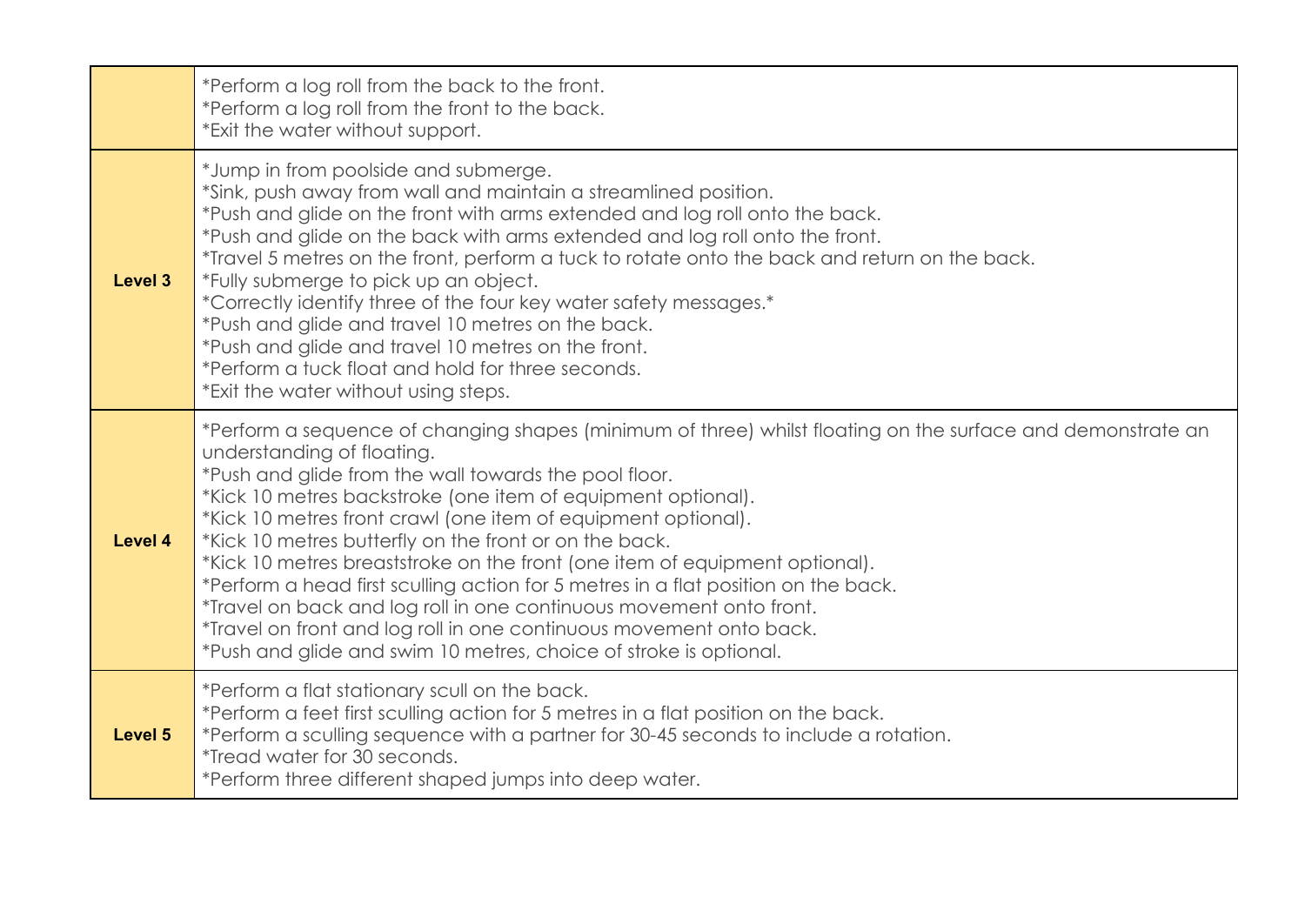|         | *Perform a log roll from the back to the front.<br>*Perform a log roll from the front to the back.<br>*Exit the water without support.                                                                                                                                                                                                                                                                                                                                                                                                                                                                                                                                                                                                                                                |
|---------|---------------------------------------------------------------------------------------------------------------------------------------------------------------------------------------------------------------------------------------------------------------------------------------------------------------------------------------------------------------------------------------------------------------------------------------------------------------------------------------------------------------------------------------------------------------------------------------------------------------------------------------------------------------------------------------------------------------------------------------------------------------------------------------|
| Level 3 | *Jump in from poolside and submerge.<br>*Sink, push away from wall and maintain a streamlined position.<br>*Push and glide on the front with arms extended and log roll onto the back.<br>*Push and glide on the back with arms extended and log roll onto the front.<br>*Travel 5 metres on the front, perform a tuck to rotate onto the back and return on the back.<br>*Fully submerge to pick up an object.<br>*Correctly identify three of the four key water safety messages.*<br>*Push and glide and travel 10 metres on the back.<br>*Push and glide and travel 10 metres on the front.<br>*Perform a tuck float and hold for three seconds.<br>*Exit the water without using steps.                                                                                          |
| Level 4 | *Perform a sequence of changing shapes (minimum of three) whilst floating on the surface and demonstrate an<br>understanding of floating.<br>*Push and glide from the wall towards the pool floor.<br>*Kick 10 metres backstroke (one item of equipment optional).<br>*Kick 10 metres front crawl (one item of equipment optional).<br>*Kick 10 metres butterfly on the front or on the back.<br>*Kick 10 metres breaststroke on the front (one item of equipment optional).<br>*Perform a head first sculling action for 5 metres in a flat position on the back.<br>*Travel on back and log roll in one continuous movement onto front.<br>*Travel on front and log roll in one continuous movement onto back.<br>*Push and glide and swim 10 metres, choice of stroke is optional. |
| Level 5 | *Perform a flat stationary scull on the back.<br>*Perform a feet first sculling action for 5 metres in a flat position on the back.<br>*Perform a sculling sequence with a partner for 30-45 seconds to include a rotation.<br><i>*Tread water for 30 seconds.</i><br>*Perform three different shaped jumps into deep water.                                                                                                                                                                                                                                                                                                                                                                                                                                                          |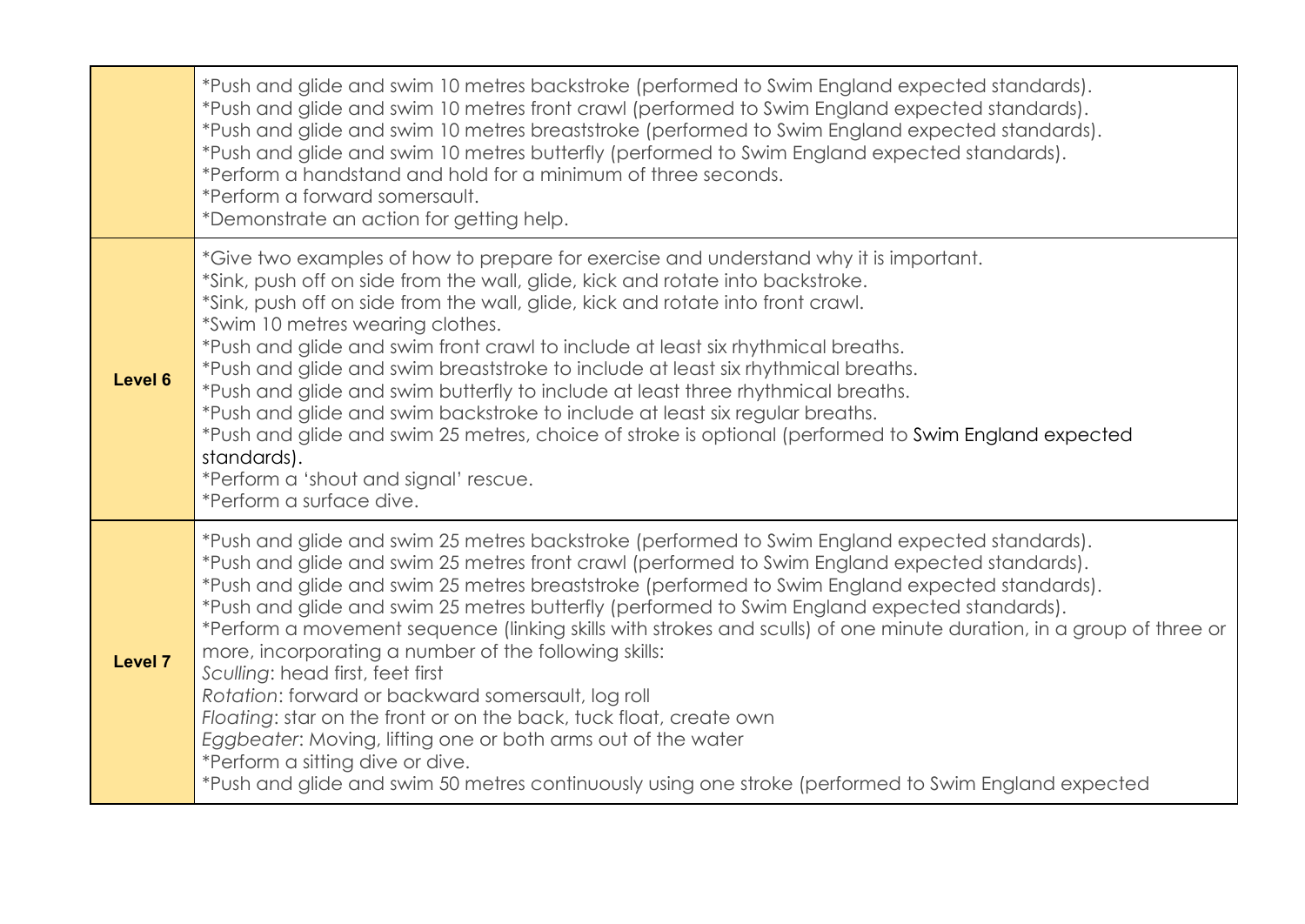|                | *Push and glide and swim 10 metres backstroke (performed to Swim England expected standards).<br>*Push and glide and swim 10 metres front crawl (performed to Swim England expected standards).<br>*Push and glide and swim 10 metres breaststroke (performed to Swim England expected standards).<br>*Push and glide and swim 10 metres butterfly (performed to Swim England expected standards).<br>*Perform a handstand and hold for a minimum of three seconds.<br>*Perform a forward somersault.<br>*Demonstrate an action for getting help.                                                                                                                                                                                                                                                                                                                                                                                                               |
|----------------|-----------------------------------------------------------------------------------------------------------------------------------------------------------------------------------------------------------------------------------------------------------------------------------------------------------------------------------------------------------------------------------------------------------------------------------------------------------------------------------------------------------------------------------------------------------------------------------------------------------------------------------------------------------------------------------------------------------------------------------------------------------------------------------------------------------------------------------------------------------------------------------------------------------------------------------------------------------------|
| Level 6        | *Give two examples of how to prepare for exercise and understand why it is important.<br>*Sink, push off on side from the wall, glide, kick and rotate into backstroke.<br>*Sink, push off on side from the wall, glide, kick and rotate into front crawl.<br>*Swim 10 metres wearing clothes.<br>*Push and glide and swim front crawl to include at least six rhythmical breaths.<br>*Push and glide and swim breaststroke to include at least six rhythmical breaths.<br>*Push and glide and swim butterfly to include at least three rhythmical breaths.<br>*Push and glide and swim backstroke to include at least six regular breaths.<br>*Push and glide and swim 25 metres, choice of stroke is optional (performed to Swim England expected<br>standards).<br>*Perform a 'shout and signal' rescue.<br>*Perform a surface dive.                                                                                                                         |
| <b>Level 7</b> | *Push and glide and swim 25 metres backstroke (performed to Swim England expected standards).<br>*Push and glide and swim 25 metres front crawl (performed to Swim England expected standards).<br>*Push and glide and swim 25 metres breaststroke (performed to Swim England expected standards).<br>*Push and glide and swim 25 metres butterfly (performed to Swim England expected standards).<br>*Perform a movement sequence (linking skills with strokes and sculls) of one minute duration, in a group of three or<br>more, incorporating a number of the following skills:<br>Sculling: head first, feet first<br>Rotation: forward or backward somersault, log roll<br>Floating: star on the front or on the back, tuck float, create own<br>Eggbeater: Moving, lifting one or both arms out of the water<br>*Perform a sitting dive or dive.<br>*Push and glide and swim 50 metres continuously using one stroke (performed to Swim England expected |